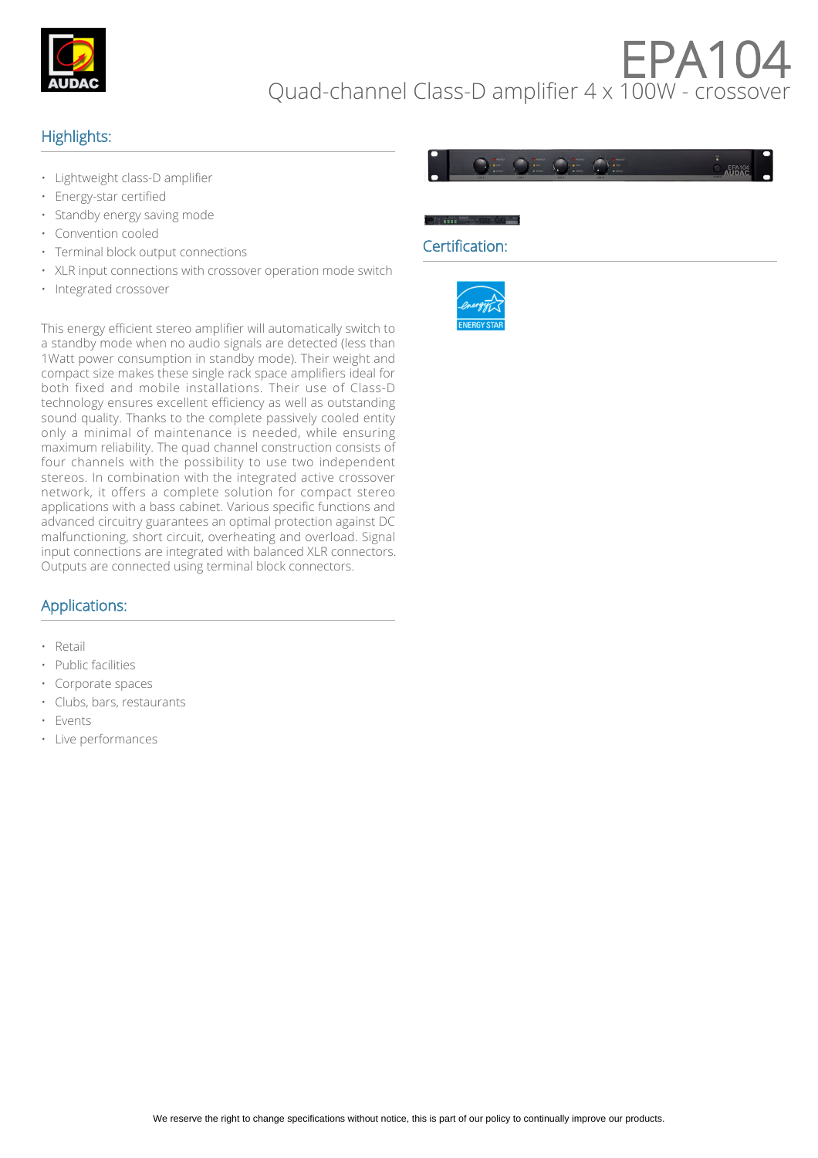

# EPA10 Quad-channel Class-D amplifier 4 x 100W - crossover

## Highlights:

- Lightweight class-D amplifier
- Energy-star certified
- Standby energy saving mode
- Convention cooled
- Terminal block output connections
- XLR input connections with crossover operation mode switch
- Integrated crossover



#### Certification:



This energy efficient stereo amplifier will automatically switch to a standby mode when no audio signals are detected (less than 1Watt power consumption in standby mode). Their weight and compact size makes these single rack space amplifiers ideal for both fixed and mobile installations. Their use of Class-D technology ensures excellent efficiency as well as outstanding sound quality. Thanks to the complete passively cooled entity only a minimal of maintenance is needed, while ensuring maximum reliability. The quad channel construction consists of four channels with the possibility to use two independent stereos. In combination with the integrated active crossover network, it offers a complete solution for compact stereo applications with a bass cabinet. Various specific functions and advanced circuitry guarantees an optimal protection against DC malfunctioning, short circuit, overheating and overload. Signal input connections are integrated with balanced XLR connectors. Outputs are connected using terminal block connectors.

### Applications:

- Retail
- Public facilities
- Corporate spaces
- Clubs, bars, restaurants
- **Events**
- Live performances